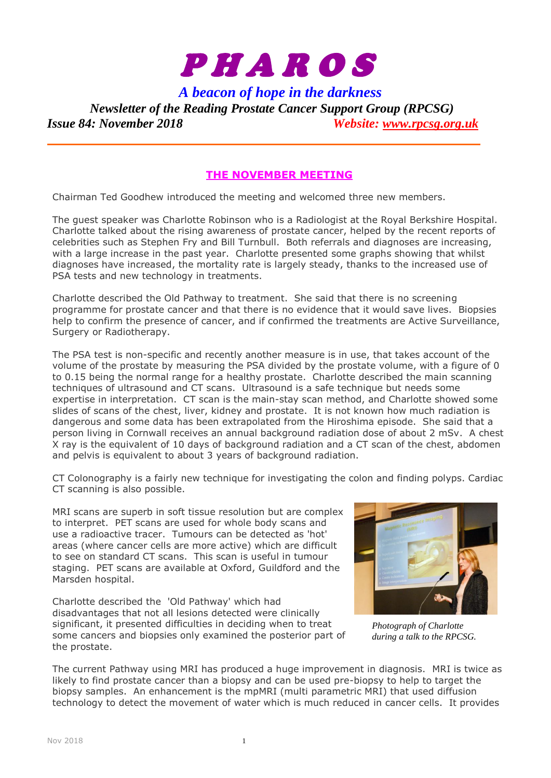

*A beacon of hope in the darkness*

*Newsletter of the Reading Prostate Cancer Support Group (RPCSG) Issue 84: November 2018 Website: [www.rpcsg.org.uk](http://www.rpcsg.org.uk/)*

# **THE NOVEMBER MEETING**

Chairman Ted Goodhew introduced the meeting and welcomed three new members.

The guest speaker was Charlotte Robinson who is a Radiologist at the Royal Berkshire Hospital. Charlotte talked about the rising awareness of prostate cancer, helped by the recent reports of celebrities such as Stephen Fry and Bill Turnbull. Both referrals and diagnoses are increasing, with a large increase in the past year. Charlotte presented some graphs showing that whilst diagnoses have increased, the mortality rate is largely steady, thanks to the increased use of PSA tests and new technology in treatments.

Charlotte described the Old Pathway to treatment. She said that there is no screening programme for prostate cancer and that there is no evidence that it would save lives. Biopsies help to confirm the presence of cancer, and if confirmed the treatments are Active Surveillance, Surgery or Radiotherapy.

The PSA test is non-specific and recently another measure is in use, that takes account of the volume of the prostate by measuring the PSA divided by the prostate volume, with a figure of 0 to 0.15 being the normal range for a healthy prostate. Charlotte described the main scanning techniques of ultrasound and CT scans. Ultrasound is a safe technique but needs some expertise in interpretation. CT scan is the main-stay scan method, and Charlotte showed some slides of scans of the chest, liver, kidney and prostate. It is not known how much radiation is dangerous and some data has been extrapolated from the Hiroshima episode. She said that a person living in Cornwall receives an annual background radiation dose of about 2 mSv. A chest X ray is the equivalent of 10 days of background radiation and a CT scan of the chest, abdomen and pelvis is equivalent to about 3 years of background radiation.

CT Colonography is a fairly new technique for investigating the colon and finding polyps. Cardiac CT scanning is also possible.

MRI scans are superb in soft tissue resolution but are complex to interpret. PET scans are used for whole body scans and use a radioactive tracer. Tumours can be detected as 'hot' areas (where cancer cells are more active) which are difficult to see on standard CT scans. This scan is useful in tumour staging. PET scans are available at Oxford, Guildford and the Marsden hospital.

Charlotte described the 'Old Pathway' which had disadvantages that not all lesions detected were clinically significant, it presented difficulties in deciding when to treat some cancers and biopsies only examined the posterior part of the prostate.



*Photograph of Charlotte during a talk to the RPCSG.*

The current Pathway using MRI has produced a huge improvement in diagnosis. MRI is twice as likely to find prostate cancer than a biopsy and can be used pre-biopsy to help to target the biopsy samples. An enhancement is the mpMRI (multi parametric MRI) that used diffusion technology to detect the movement of water which is much reduced in cancer cells. It provides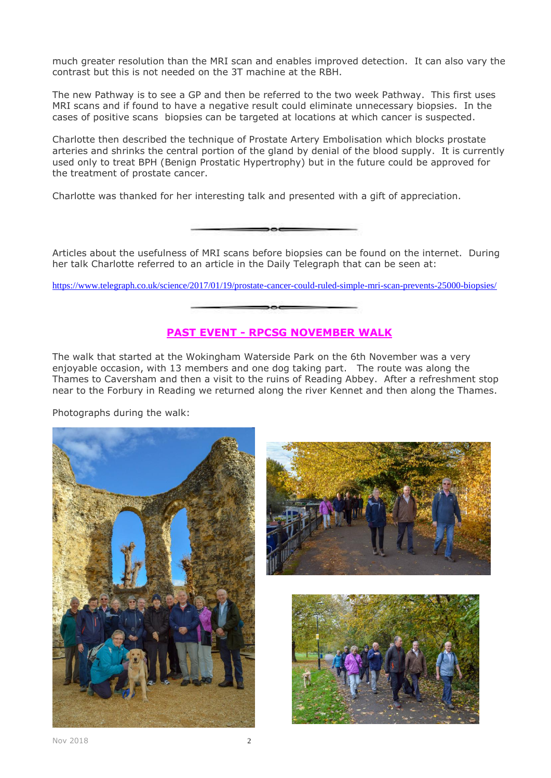much greater resolution than the MRI scan and enables improved detection. It can also vary the contrast but this is not needed on the 3T machine at the RBH.

The new Pathway is to see a GP and then be referred to the two week Pathway. This first uses MRI scans and if found to have a negative result could eliminate unnecessary biopsies. In the cases of positive scans biopsies can be targeted at locations at which cancer is suspected.

Charlotte then described the technique of Prostate Artery Embolisation which blocks prostate arteries and shrinks the central portion of the gland by denial of the blood supply. It is currently used only to treat BPH (Benign Prostatic Hypertrophy) but in the future could be approved for the treatment of prostate cancer.

Charlotte was thanked for her interesting talk and presented with a gift of appreciation.

Articles about the usefulness of MRI scans before biopsies can be found on the internet. During her talk Charlotte referred to an article in the Daily Telegraph that can be seen at:

<https://www.telegraph.co.uk/science/2017/01/19/prostate-cancer-could-ruled-simple-mri-scan-prevents-25000-biopsies/>

# **PAST EVENT - RPCSG NOVEMBER WALK**

The walk that started at the Wokingham Waterside Park on the 6th November was a very enjoyable occasion, with 13 members and one dog taking part. The route was along the Thames to Caversham and then a visit to the ruins of Reading Abbey. After a refreshment stop near to the Forbury in Reading we returned along the river Kennet and then along the Thames.

Photographs during the walk:





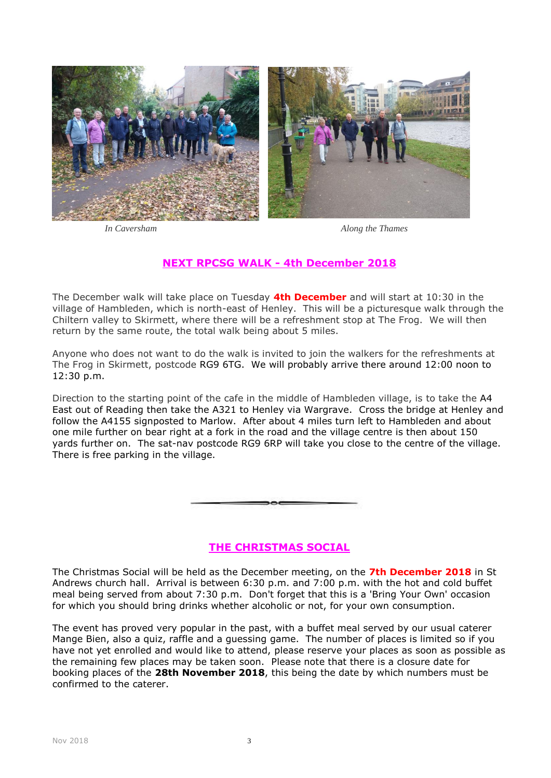



*In Caversham Along the Thames*

# **NEXT RPCSG WALK - 4th December 2018**

The December walk will take place on Tuesday **4th December** and will start at 10:30 in the village of Hambleden, which is north-east of Henley. This will be a picturesque walk through the Chiltern valley to Skirmett, where there will be a refreshment stop at The Frog. We will then return by the same route, the total walk being about 5 miles.

Anyone who does not want to do the walk is invited to join the walkers for the refreshments at The Frog in Skirmett, postcode RG9 6TG. We will probably arrive there around 12:00 noon to 12:30 p.m.

Direction to the starting point of the cafe in the middle of Hambleden village, is to take the A4 East out of Reading then take the A321 to Henley via Wargrave. Cross the bridge at Henley and follow the A4155 signposted to Marlow. After about 4 miles turn left to Hambleden and about one mile further on bear right at a fork in the road and the village centre is then about 150 yards further on. The sat-nav postcode RG9 6RP will take you close to the centre of the village. There is free parking in the village.

### **THE CHRISTMAS SOCIAL**

The Christmas Social will be held as the December meeting, on the **7th December 2018** in St Andrews church hall. Arrival is between 6:30 p.m. and 7:00 p.m. with the hot and cold buffet meal being served from about 7:30 p.m. Don't forget that this is a 'Bring Your Own' occasion for which you should bring drinks whether alcoholic or not, for your own consumption.

The event has proved very popular in the past, with a buffet meal served by our usual caterer Mange Bien, also a quiz, raffle and a guessing game. The number of places is limited so if you have not yet enrolled and would like to attend, please reserve your places as soon as possible as the remaining few places may be taken soon. Please note that there is a closure date for booking places of the **28th November 2018**, this being the date by which numbers must be confirmed to the caterer.